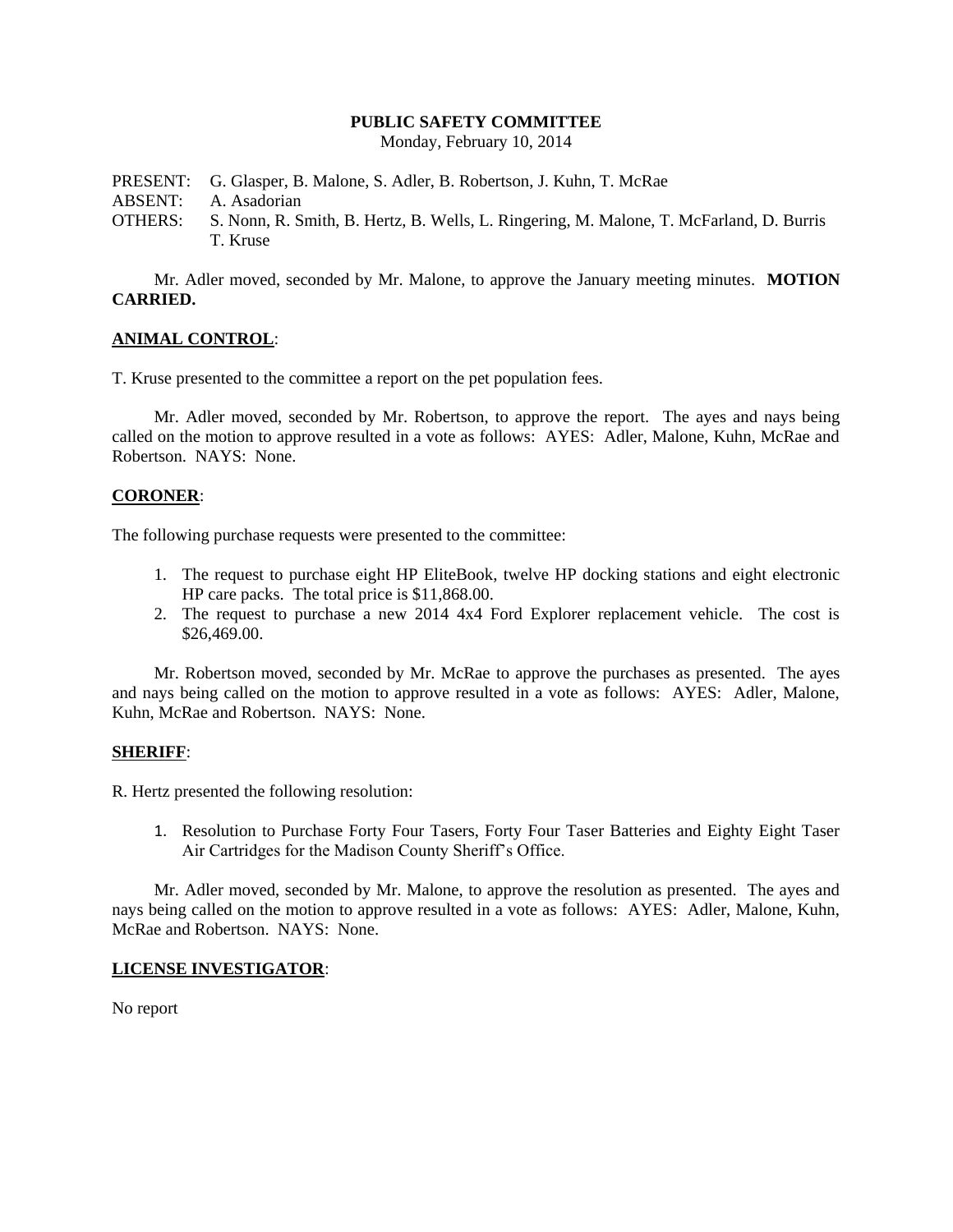### **PUBLIC SAFETY COMMITTEE**

Monday, February 10, 2014

PRESENT: G. Glasper, B. Malone, S. Adler, B. Robertson, J. Kuhn, T. McRae ABSENT: A. Asadorian OTHERS: S. Nonn, R. Smith, B. Hertz, B. Wells, L. Ringering, M. Malone, T. McFarland, D. Burris T. Kruse

Mr. Adler moved, seconded by Mr. Malone, to approve the January meeting minutes. **MOTION CARRIED.**

## **ANIMAL CONTROL**:

T. Kruse presented to the committee a report on the pet population fees.

Mr. Adler moved, seconded by Mr. Robertson, to approve the report. The ayes and nays being called on the motion to approve resulted in a vote as follows: AYES: Adler, Malone, Kuhn, McRae and Robertson. NAYS: None.

### **CORONER**:

The following purchase requests were presented to the committee:

- 1. The request to purchase eight HP EliteBook, twelve HP docking stations and eight electronic HP care packs. The total price is \$11,868.00.
- 2. The request to purchase a new 2014 4x4 Ford Explorer replacement vehicle. The cost is \$26,469.00.

Mr. Robertson moved, seconded by Mr. McRae to approve the purchases as presented. The ayes and nays being called on the motion to approve resulted in a vote as follows: AYES: Adler, Malone, Kuhn, McRae and Robertson. NAYS: None.

### **SHERIFF**:

R. Hertz presented the following resolution:

1. Resolution to Purchase Forty Four Tasers, Forty Four Taser Batteries and Eighty Eight Taser Air Cartridges for the Madison County Sheriff's Office.

Mr. Adler moved, seconded by Mr. Malone, to approve the resolution as presented. The ayes and nays being called on the motion to approve resulted in a vote as follows: AYES: Adler, Malone, Kuhn, McRae and Robertson. NAYS: None.

### **LICENSE INVESTIGATOR**:

No report